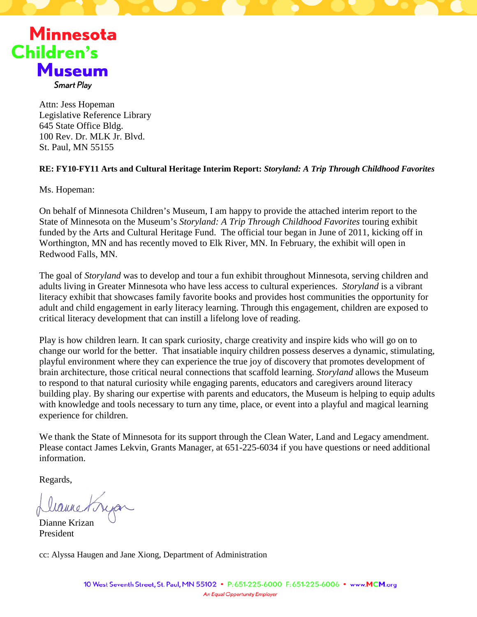

**Smart Play** 

Attn: Jess Hopeman Legislative Reference Library 645 State Office Bldg. 100 Rev. Dr. MLK Jr. Blvd. St. Paul, MN 55155

### **RE: FY10-FY11 Arts and Cultural Heritage Interim Report:** *Storyland: A Trip Through Childhood Favorites*

Ms. Hopeman:

On behalf of Minnesota Children's Museum, I am happy to provide the attached interim report to the State of Minnesota on the Museum's *Storyland: A Trip Through Childhood Favorites* touring exhibit funded by the Arts and Cultural Heritage Fund. The official tour began in June of 2011, kicking off in Worthington, MN and has recently moved to Elk River, MN. In February, the exhibit will open in Redwood Falls, MN.

The goal of *Storyland* was to develop and tour a fun exhibit throughout Minnesota, serving children and adults living in Greater Minnesota who have less access to cultural experiences. *Storyland* is a vibrant literacy exhibit that showcases family favorite books and provides host communities the opportunity for adult and child engagement in early literacy learning. Through this engagement, children are exposed to critical literacy development that can instill a lifelong love of reading.

Play is how children learn. It can spark curiosity, charge creativity and inspire kids who will go on to change our world for the better. That insatiable inquiry children possess deserves a dynamic, stimulating, playful environment where they can experience the true joy of discovery that promotes development of brain architecture, those critical neural connections that scaffold learning. *Storyland* allows the Museum to respond to that natural curiosity while engaging parents, educators and caregivers around literacy building play. By sharing our expertise with parents and educators, the Museum is helping to equip adults with knowledge and tools necessary to turn any time, place, or event into a playful and magical learning experience for children.

We thank the State of Minnesota for its support through the Clean Water, Land and Legacy amendment. Please contact James Lekvin, Grants Manager, at 651-225-6034 if you have questions or need additional information.

Regards,

Llaune Kryan

President

cc: Alyssa Haugen and Jane Xiong, Department of Administration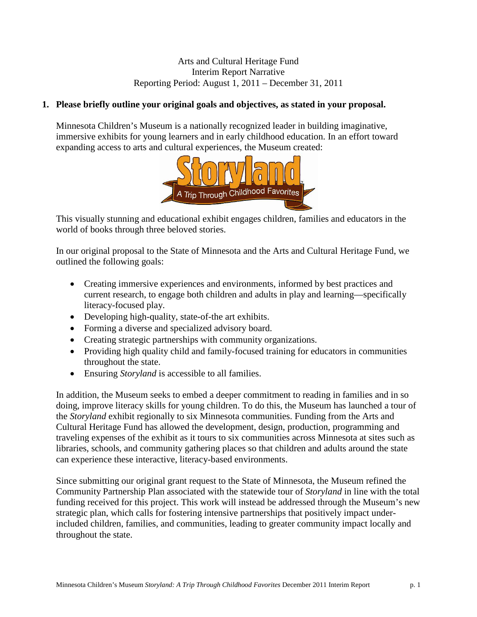### Arts and Cultural Heritage Fund Interim Report Narrative Reporting Period: August 1, 2011 – December 31, 2011

### **1. Please briefly outline your original goals and objectives, as stated in your proposal.**

Minnesota Children's Museum is a nationally recognized leader in building imaginative, immersive exhibits for young learners and in early childhood education. In an effort toward expanding access to arts and cultural experiences, the Museum created:



This visually stunning and educational exhibit engages children, families and educators in the world of books through three beloved stories.

In our original proposal to the State of Minnesota and the Arts and Cultural Heritage Fund, we outlined the following goals:

- Creating immersive experiences and environments, informed by best practices and current research, to engage both children and adults in play and learning—specifically literacy-focused play.
- Developing high-quality, state-of-the art exhibits.
- Forming a diverse and specialized advisory board.
- Creating strategic partnerships with community organizations.
- Providing high quality child and family-focused training for educators in communities throughout the state.
- Ensuring *Storyland* is accessible to all families.

In addition, the Museum seeks to embed a deeper commitment to reading in families and in so doing, improve literacy skills for young children. To do this, the Museum has launched a tour of the *Storyland* exhibit regionally to six Minnesota communities. Funding from the Arts and Cultural Heritage Fund has allowed the development, design, production, programming and traveling expenses of the exhibit as it tours to six communities across Minnesota at sites such as libraries, schools, and community gathering places so that children and adults around the state can experience these interactive, literacy-based environments.

Since submitting our original grant request to the State of Minnesota, the Museum refined the Community Partnership Plan associated with the statewide tour of *Storyland* in line with the total funding received for this project. This work will instead be addressed through the Museum's new strategic plan, which calls for fostering intensive partnerships that positively impact underincluded children, families, and communities, leading to greater community impact locally and throughout the state.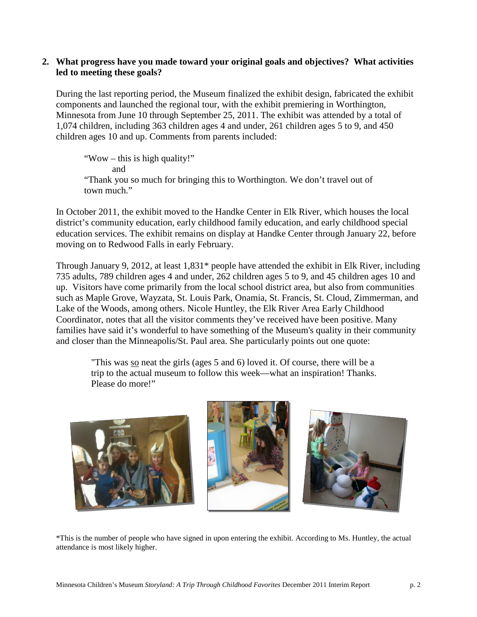### **2. What progress have you made toward your original goals and objectives? What activities led to meeting these goals?**

During the last reporting period, the Museum finalized the exhibit design, fabricated the exhibit components and launched the regional tour, with the exhibit premiering in Worthington, Minnesota from June 10 through September 25, 2011. The exhibit was attended by a total of 1,074 children, including 363 children ages 4 and under, 261 children ages 5 to 9, and 450 children ages 10 and up. Comments from parents included:

"Wow – this is high quality!" and "Thank you so much for bringing this to Worthington. We don't travel out of town much."

In October 2011, the exhibit moved to the Handke Center in Elk River, which houses the local district's community education, early childhood family education, and early childhood special education services. The exhibit remains on display at Handke Center through January 22, before moving on to Redwood Falls in early February.

Through January 9, 2012, at least 1,831\* people have attended the exhibit in Elk River, including 735 adults, 789 children ages 4 and under, 262 children ages 5 to 9, and 45 children ages 10 and up. Visitors have come primarily from the local school district area, but also from communities such as Maple Grove, Wayzata, St. Louis Park, Onamia, St. Francis, St. Cloud, Zimmerman, and Lake of the Woods, among others. Nicole Huntley, the Elk River Area Early Childhood Coordinator, notes that all the visitor comments they've received have been positive. Many families have said it's wonderful to have something of the Museum's quality in their community and closer than the Minneapolis/St. Paul area. She particularly points out one quote:

"This was so neat the girls (ages 5 and 6) loved it. Of course, there will be a trip to the actual museum to follow this week—what an inspiration! Thanks. Please do more!"



\*This is the number of people who have signed in upon entering the exhibit. According to Ms. Huntley, the actual attendance is most likely higher.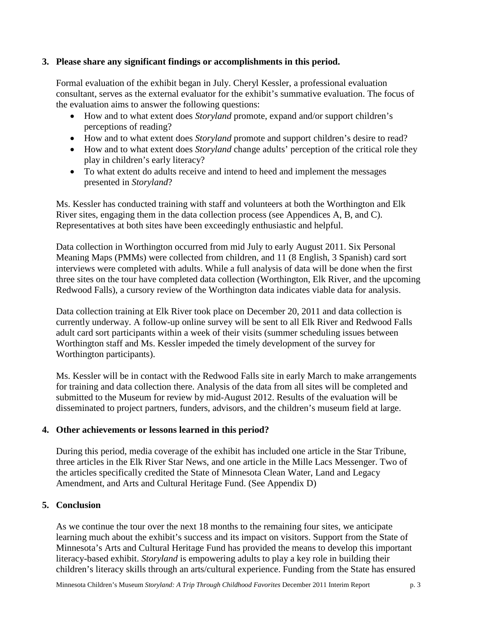### **3. Please share any significant findings or accomplishments in this period.**

Formal evaluation of the exhibit began in July. Cheryl Kessler, a professional evaluation consultant, serves as the external evaluator for the exhibit's summative evaluation. The focus of the evaluation aims to answer the following questions:

- How and to what extent does *Storyland* promote, expand and/or support children's perceptions of reading?
- How and to what extent does *Storyland* promote and support children's desire to read?
- How and to what extent does *Storyland* change adults' perception of the critical role they play in children's early literacy?
- To what extent do adults receive and intend to heed and implement the messages presented in *Storyland*?

Ms. Kessler has conducted training with staff and volunteers at both the Worthington and Elk River sites, engaging them in the data collection process (see Appendices A, B, and C). Representatives at both sites have been exceedingly enthusiastic and helpful.

Data collection in Worthington occurred from mid July to early August 2011. Six Personal Meaning Maps (PMMs) were collected from children, and 11 (8 English, 3 Spanish) card sort interviews were completed with adults. While a full analysis of data will be done when the first three sites on the tour have completed data collection (Worthington, Elk River, and the upcoming Redwood Falls), a cursory review of the Worthington data indicates viable data for analysis.

Data collection training at Elk River took place on December 20, 2011 and data collection is currently underway. A follow-up online survey will be sent to all Elk River and Redwood Falls adult card sort participants within a week of their visits (summer scheduling issues between Worthington staff and Ms. Kessler impeded the timely development of the survey for Worthington participants).

Ms. Kessler will be in contact with the Redwood Falls site in early March to make arrangements for training and data collection there. Analysis of the data from all sites will be completed and submitted to the Museum for review by mid-August 2012. Results of the evaluation will be disseminated to project partners, funders, advisors, and the children's museum field at large.

### **4. Other achievements or lessons learned in this period?**

During this period, media coverage of the exhibit has included one article in the Star Tribune, three articles in the Elk River Star News, and one article in the Mille Lacs Messenger. Two of the articles specifically credited the State of Minnesota Clean Water, Land and Legacy Amendment, and Arts and Cultural Heritage Fund. (See Appendix D)

### **5. Conclusion**

As we continue the tour over the next 18 months to the remaining four sites, we anticipate learning much about the exhibit's success and its impact on visitors. Support from the State of Minnesota's Arts and Cultural Heritage Fund has provided the means to develop this important literacy-based exhibit. *Storyland* is empowering adults to play a key role in building their children's literacy skills through an arts/cultural experience. Funding from the State has ensured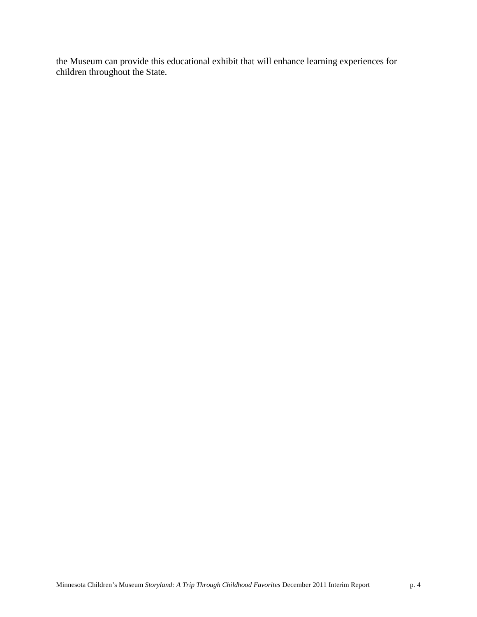the Museum can provide this educational exhibit that will enhance learning experiences for children throughout the State.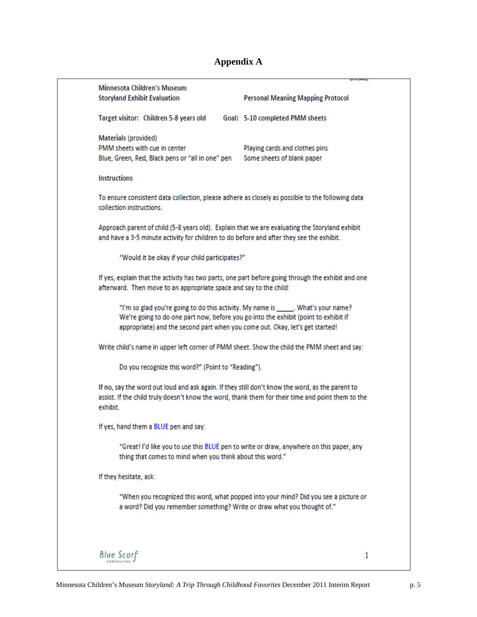# **Appendix A**

|                                                                                                                                                                                                                                                            | <b>UNDILL</b>                                                |   |
|------------------------------------------------------------------------------------------------------------------------------------------------------------------------------------------------------------------------------------------------------------|--------------------------------------------------------------|---|
| Minnesota Children's Museum<br><b>Storyland Exhibit Evaluation</b>                                                                                                                                                                                         | <b>Personal Meaning Mapping Protocol</b>                     |   |
| Target visitor: Children 5-8 years old                                                                                                                                                                                                                     | Goal: 5-10 completed PMM sheets                              |   |
| Materials (provided)<br>PMM sheets with cue in center<br>Blue, Green, Red, Black pens or "all in one" pen                                                                                                                                                  | Playing cards and clothes pins<br>Some sheets of blank paper |   |
| <b>Instructions</b>                                                                                                                                                                                                                                        |                                                              |   |
| To ensure consistent data collection, please adhere as closely as possible to the following data<br>collection instructions.                                                                                                                               |                                                              |   |
| Approach parent of child (5-8 years old). Explain that we are evaluating the Storyland exhibit<br>and have a 3-5 minute activity for children to do before and after they see the exhibit.                                                                 |                                                              |   |
| "Would it be okay if your child participates?"                                                                                                                                                                                                             |                                                              |   |
| If yes, explain that the activity has two parts, one part before going through the exhibit and one<br>afterward. Then move to an appropriate space and say to the child:                                                                                   |                                                              |   |
| "I'm so glad you're going to do this activity. My name is ______. What's your name?<br>We're going to do one part now, before you go into the exhibit (point to exhibit if<br>appropriate) and the second part when you come out. Okay, let's get started! |                                                              |   |
| Write child's name in upper left corner of PMM sheet. Show the child the PMM sheet and say:                                                                                                                                                                |                                                              |   |
| Do you recognize this word?" (Point to "Reading").                                                                                                                                                                                                         |                                                              |   |
| If no, say the word out loud and ask again. If they still don't know the word, as the parent to<br>assist. If the child truly doesn't know the word, thank them for their time and point them to the<br>exhibit.                                           |                                                              |   |
| If yes, hand them a BLUE pen and say:                                                                                                                                                                                                                      |                                                              |   |
| "Great! I'd like you to use this BLUE pen to write or draw, anywhere on this paper, any<br>thing that comes to mind when you think about this word."                                                                                                       |                                                              |   |
| If they hesitate, ask:                                                                                                                                                                                                                                     |                                                              |   |
| "When you recognized this word, what popped into your mind? Did you see a picture or<br>a word? Did you remember something? Write or draw what you thought of."                                                                                            |                                                              |   |
|                                                                                                                                                                                                                                                            |                                                              |   |
| <b>Blue Scarf</b>                                                                                                                                                                                                                                          |                                                              | 1 |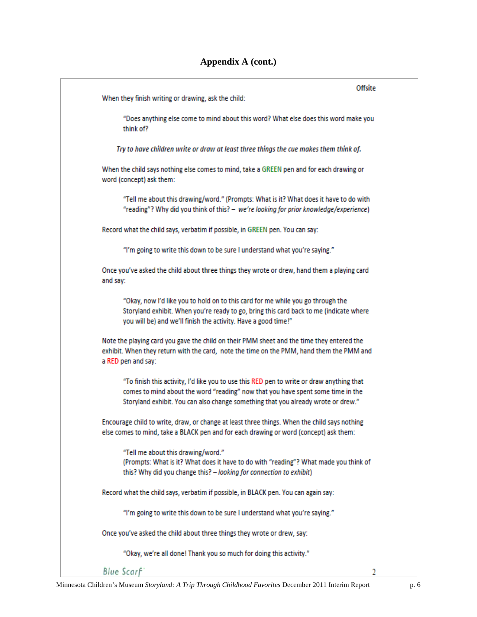|                                                                                                                                                                                                                                                                   | Offsite |
|-------------------------------------------------------------------------------------------------------------------------------------------------------------------------------------------------------------------------------------------------------------------|---------|
| When they finish writing or drawing, ask the child:                                                                                                                                                                                                               |         |
| "Does anything else come to mind about this word? What else does this word make you<br>think of?                                                                                                                                                                  |         |
| Try to have children write or draw at least three things the cue makes them think of.                                                                                                                                                                             |         |
| When the child says nothing else comes to mind, take a GREEN pen and for each drawing or<br>word (concept) ask them:                                                                                                                                              |         |
| "Tell me about this drawing/word." (Prompts: What is it? What does it have to do with<br>"reading"? Why did you think of this? - we're looking for prior knowledge/experience)                                                                                    |         |
| Record what the child says, verbatim if possible, in GREEN pen. You can say:                                                                                                                                                                                      |         |
| "I'm going to write this down to be sure I understand what you're saying."                                                                                                                                                                                        |         |
| Once you've asked the child about three things they wrote or drew, hand them a playing card<br>and say:                                                                                                                                                           |         |
| "Okay, now I'd like you to hold on to this card for me while you go through the<br>Storyland exhibit. When you're ready to go, bring this card back to me (indicate where<br>you will be) and we'll finish the activity. Have a good time!"                       |         |
| Note the playing card you gave the child on their PMM sheet and the time they entered the<br>exhibit. When they return with the card, note the time on the PMM, hand them the PMM and<br>a RED pen and say:                                                       |         |
| "To finish this activity, I'd like you to use this RED pen to write or draw anything that<br>comes to mind about the word "reading" now that you have spent some time in the<br>Storyland exhibit. You can also change something that you already wrote or drew." |         |
| Encourage child to write, draw, or change at least three things. When the child says nothing<br>else comes to mind, take a BLACK pen and for each drawing or word (concept) ask them:                                                                             |         |
| "Tell me about this drawing/word."<br>(Prompts: What is it? What does it have to do with "reading"? What made you think of<br>this? Why did you change this? - looking for connection to exhibit)                                                                 |         |
| Record what the child says, verbatim if possible, in BLACK pen. You can again say:                                                                                                                                                                                |         |
| "I'm going to write this down to be sure I understand what you're saying."                                                                                                                                                                                        |         |
| Once you've asked the child about three things they wrote or drew, say:                                                                                                                                                                                           |         |
| "Okay, we're all done! Thank you so much for doing this activity."                                                                                                                                                                                                |         |
| <b>Blue Scarf</b>                                                                                                                                                                                                                                                 |         |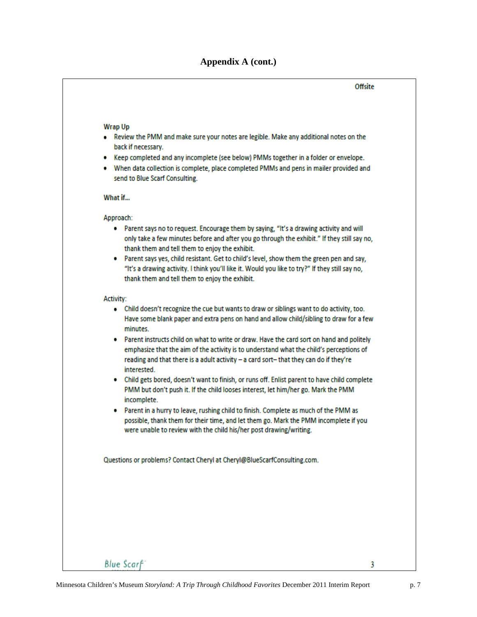### **Appendix A (cont.)**

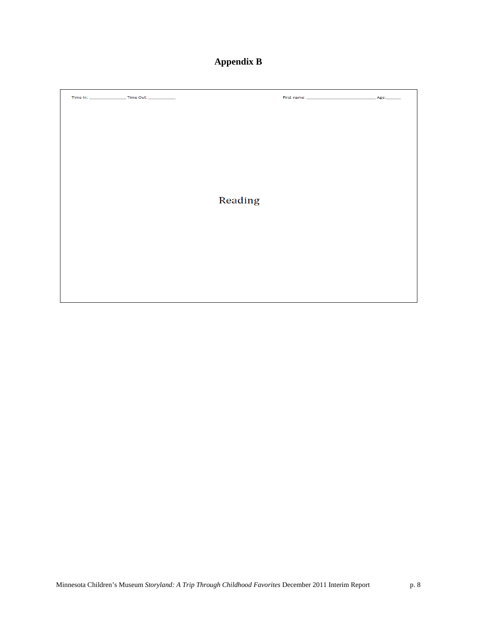# **Appendix B**

|  | Reading |  |
|--|---------|--|
|  |         |  |
|  |         |  |
|  |         |  |
|  |         |  |
|  |         |  |
|  |         |  |
|  |         |  |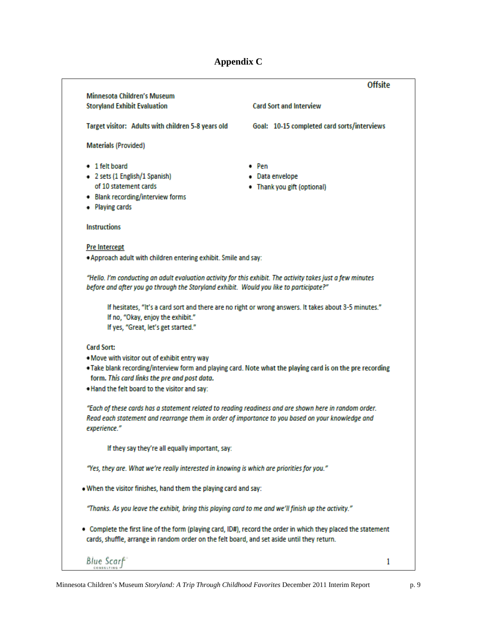# **Appendix C**

| <b>Minnesota Children's Museum</b>                                                                                                                                                                          | <b>Offsite</b>                                                                                        |
|-------------------------------------------------------------------------------------------------------------------------------------------------------------------------------------------------------------|-------------------------------------------------------------------------------------------------------|
| <b>Storyland Exhibit Evaluation</b>                                                                                                                                                                         | <b>Card Sort and Interview</b>                                                                        |
| Target visitor: Adults with children 5-8 years old                                                                                                                                                          | Goal: 10-15 completed card sorts/interviews                                                           |
| <b>Materials (Provided)</b>                                                                                                                                                                                 |                                                                                                       |
| • 1 felt board                                                                                                                                                                                              | $\bullet$ Pen                                                                                         |
| • 2 sets (1 English/1 Spanish)                                                                                                                                                                              | • Data envelope                                                                                       |
| of 10 statement cards                                                                                                                                                                                       | • Thank you gift (optional)                                                                           |
| • Blank recording/interview forms                                                                                                                                                                           |                                                                                                       |
| • Playing cards                                                                                                                                                                                             |                                                                                                       |
| <b>Instructions</b>                                                                                                                                                                                         |                                                                                                       |
| <b>Pre Intercept</b>                                                                                                                                                                                        |                                                                                                       |
| . Approach adult with children entering exhibit. Smile and say:                                                                                                                                             |                                                                                                       |
| "Hello. I'm conducting an adult evaluation activity for this exhibit. The activity takes just a few minutes                                                                                                 |                                                                                                       |
| before and after you go through the Storyland exhibit. Would you like to participate?"                                                                                                                      |                                                                                                       |
|                                                                                                                                                                                                             | If hesitates, "It's a card sort and there are no right or wrong answers. It takes about 3-5 minutes." |
| If no, "Okay, enjoy the exhibit."                                                                                                                                                                           |                                                                                                       |
| If yes, "Great, let's get started."                                                                                                                                                                         |                                                                                                       |
| <b>Card Sort:</b>                                                                                                                                                                                           |                                                                                                       |
| . Move with visitor out of exhibit entry way                                                                                                                                                                |                                                                                                       |
| . Take blank recording/interview form and playing card. Note what the playing card is on the pre recording<br>form. This card links the pre and post data.                                                  |                                                                                                       |
| . Hand the felt board to the visitor and say:                                                                                                                                                               |                                                                                                       |
| "Each of these cards has a statement related to reading readiness and are shown here in random order.                                                                                                       |                                                                                                       |
| Read each statement and rearrange them in order of importance to you based on your knowledge and<br>experience."                                                                                            |                                                                                                       |
| If they say they're all equally important, say:                                                                                                                                                             |                                                                                                       |
| "Yes, they are. What we're really interested in knowing is which are priorities for you."                                                                                                                   |                                                                                                       |
| . When the visitor finishes, hand them the playing card and say:                                                                                                                                            |                                                                                                       |
| "Thanks. As you leave the exhibit, bring this playing card to me and we'll finish up the activity."                                                                                                         |                                                                                                       |
| Complete the first line of the form (playing card, ID#), record the order in which they placed the statement<br>cards, shuffle, arrange in random order on the felt board, and set aside until they return. |                                                                                                       |
| Blue Scarf                                                                                                                                                                                                  | 1                                                                                                     |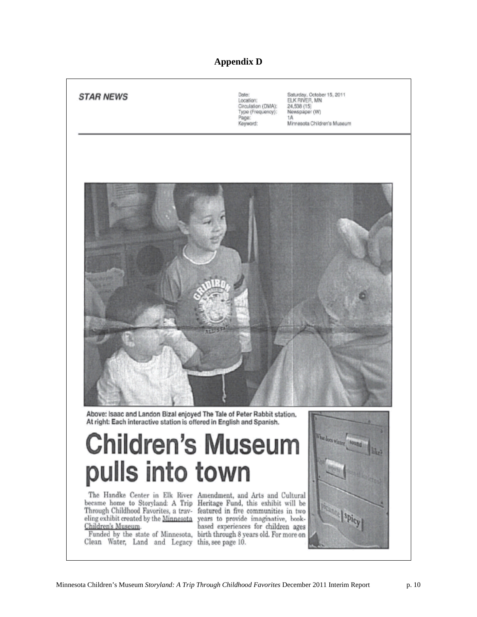### **Appendix D**

| <b>STAR NEWS</b> | Date:<br>Location:<br>Circulation (DMA):<br>Type (Frequency):<br>Page:<br>Keyword: | Saturday, October 15, 2011<br>ELK RIVER, MN<br>24,538 (15)<br>Newspaper (W)<br>1A<br>Minnesota Children's Museum |
|------------------|------------------------------------------------------------------------------------|------------------------------------------------------------------------------------------------------------------|
|                  |                                                                                    |                                                                                                                  |
|                  |                                                                                    |                                                                                                                  |
|                  |                                                                                    |                                                                                                                  |
|                  |                                                                                    |                                                                                                                  |
|                  |                                                                                    |                                                                                                                  |

Above: Isaac and Landon Bizal enjoyed The Tale of Peter Rabbit station. At right: Each interactive station is offered in English and Spanish.

# **Children's Museum** pulls into town

The Handke Center in Elk River Amendment, and Arts and Cultural Children's Museum.

Clean Water, Land and Legacy this, see page 10.

became home to Storyland: A Trip Heritage Fund, this exhibit will be Through Childhood Favorites, a trav- featured in five communities in two eling exhibit created by the Minnesota years to provide imaginative, bookbased experiences for children ages Funded by the state of Minnesota, birth through 8 years old. For more on

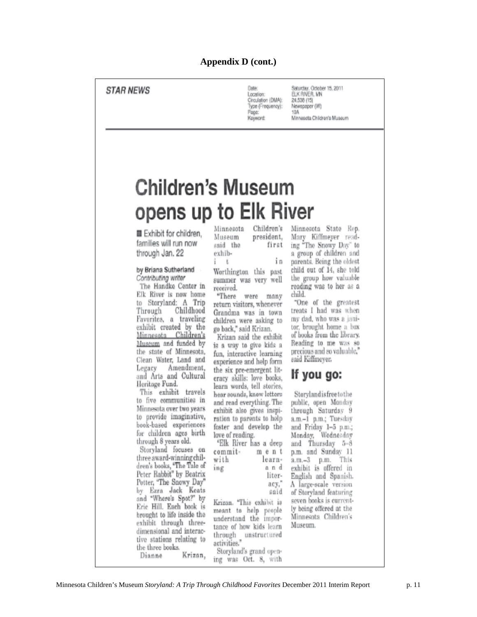## **STAR NEWS**

Date Location: Circulation (DMA): Type (Frequency): Page: Koyword:

Saturday, October 15, 2011<br>ELK RIVER, MN 24,538 (15) Newspaper (W)  $10K$ Minnesota Children's Museum

# **Children's Museum** opens up to Elk River

Exhibit for children, families will run now through Jan. 22

#### by Briana Sutherland Contributing writer

The Handke Center in Elk River is now home to Storyland: A Trip Through Childhood Favorites, a traveling exhibit created by the Minnesota Children's Museum and funded by the state of Minnesota, Clean Water, Land and Legacy Amendment, and Arts and Cultural Heritage Fund.

This exhibit travels to five communities in Minnesota over two years to provide imaginative, book-based experiences for children ages birth through 8 years old.

Storyland focuses on three award-winning children's books, "The Tale of Peter Rabbit" by Beatrix Potter, "The Snowy Day" by Ezra Jack Keats and "Where's Spot?" by Erie Hill, Each book is brought to life inside the exhibit through threedimensional and interactive stations relating to the three books. Krizan, Dianne

| Minnesota | Children's |  |  |
|-----------|------------|--|--|
| Museum    | president, |  |  |
| said the  | first      |  |  |
| exhib-    |            |  |  |

Worthington this past summer was very well received.

in

"There were many return visitors, whenever Grandma was in town children were asking to go back," said Krizan.

Krizan said the exhibit is a way to give kids a fun, interactive learning experience and help form the six pre-emergent literacy skills: love books, learn words, tell stories, hear sounds, know letters and read everything. The exhibit also gives inspiration to parents to help foster and develop the love of reading.

|         | "Elk River has a deep |
|---------|-----------------------|
| commit- | ment                  |
| with    | learn-                |
| ing.    | and                   |
|         | liter-                |

acy,

said

Krizan. "This exhibit is meant to help people understand the importance of how kids learn through unstructured activities." Storyland's grand open-

ing was Oct. 8, with

Minnesota State Rep. Mary Kiffmeyer reading "The Snowy Day" to a group of children and parents. Being the oldest child out of 14, she told the group how valuable reading was to her as a child.

"One of the greatest treats I had was when my dad, who was a janitor, brought home a box of books from the library. Reading to me was so precious and so valuable," said Kiffmeyer.

# If you go:

Storylandisfreetothe public, open Monday through Saturday 9 a.m.-1 p.m.; Tuesday and Friday 1-5 p.m.; Monday, Wednesday and Thursday 5-8 p.m. and Sunday 11 a.m.-3 p.m. This exhibit is offered in English and Spanish. A large-scale version of Storyland featuring seven books is currently being offered at the Minnesota Children's Museum.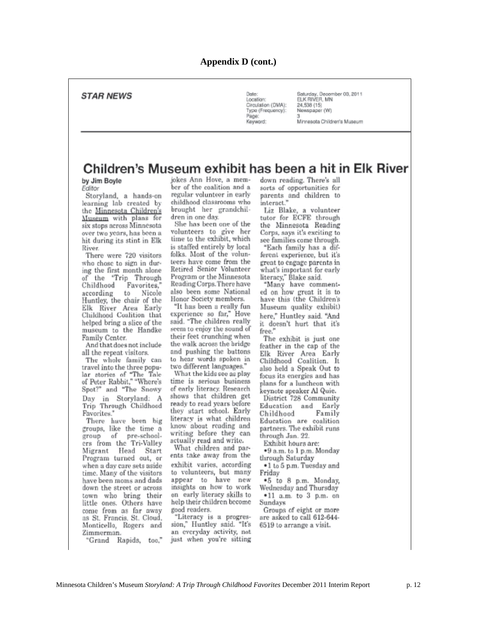### **STAR NEWS**

Date Location: Circulation (DMA): Type (Frequency): Page: Keyword:

Saturday, December 03, 2011<br>ELK RIVER, MN 24,538 (15) Newspaper (W) Minnesota Children's Museum

## Children's Museum exhibit has been a hit in Elk River

by Jim Boyle Editor

Storyland, a hands-on learning lab created by the Minnesota Children's Museum with plans for six stops across Minnesota over two years, has been a hit during its stint in Elk River.

There were 720 visitors who chose to sign in during the first month alone of the 'Trip Through Childhood Favorites," according to Nicole Huntley, the chair of the Elk River Area Early<br>Childhood Coalition that helped bring a slice of the museum to the Handke Family Center.

And that does not include all the repeat visitors.

The whole family can travel into the three popular stories of "The Tale<br>of Peter Rabbit," "Where's Spot?" and "The Snowy Day in Storyland: A Trip Through Childhood Favorites."

There have been big groups, like the time a group of pre-schoolers from the Tri-Valley Migrant Head Start Program turned out, or when a day care sets aside time. Many of the visitors have been moms and dads down the street or across town who bring their<br>little ones. Others have come from as far away as St. Francis, St. Cloud, Monticello, Rogers and Zimmerman.

"Grand Rapids, too,"

jokes Ann Hove, a member of the coalition and a regular volunteer in early childhood classrooms who brought her grandchildren in one day.

She has been one of the volunteers to give her time to the exhibit, which is staffed entirely by local folks. Most of the volunteers have come from the Retired Senior Volunteer Program or the Minnesota Reading Corps. There have also been some National Honor Society members.

"It has been a really fun experience so far," Hove said. "The children really seem to enjoy the sound of their feet crunching when the walk across the bridge and pushing the buttons to hear words spoken in two different languages."

What the kids see as play time is serious business of early literacy. Research shows that children get ready to read years before they start school. Early literacy is what children know about reading and writing before they can actually read and write.

What children and parents take away from the exhibit varies, according<br>to volunteers, but many appear to have new insights on how to work on early literacy skills to help their children become good readers.

"Literacy is a progression," Huntley said. "It's an everyday activity, not just when you're sitting down reading. There's all sorts of opportunities for parents and children to interact."

Liz Blake, a volunteer tutor for ECFE through the Minnesota Reading Corps, says it's exciting to see families come through.

"Each family has a different experience, but it's great to engage parents in what's important for early literacy," Blake said.

"Many have commented on how great it is to have this (the Children's Museum quality exhibit) here," Huntley said. "And it doesn't hurt that it's free."

The exhibit is just one feather in the cap of the Elk River Area Early<br>Childhood Coalition. It also held a Speak Out to focus its energies and has plans for a luncheon with keynote speaker Al Quie.

District 728 Community Education and Early Family Childhood Education are coalition partners. The exhibit runs through Jan. 22.

Exhibit hours are:

\*9 a.m. to 1 p.m. Monday through Saturday

.1 to 5 p.m. Tuesday and Fridav

\*5 to 8 p.m. Monday, Wednesday and Thursday  $-11$  a.m. to 3 p.m. on

Sundays Groups of eight or more are asked to call 612-644-6519 to arrange a visit.

 $\begin{array}{c} \hline \end{array}$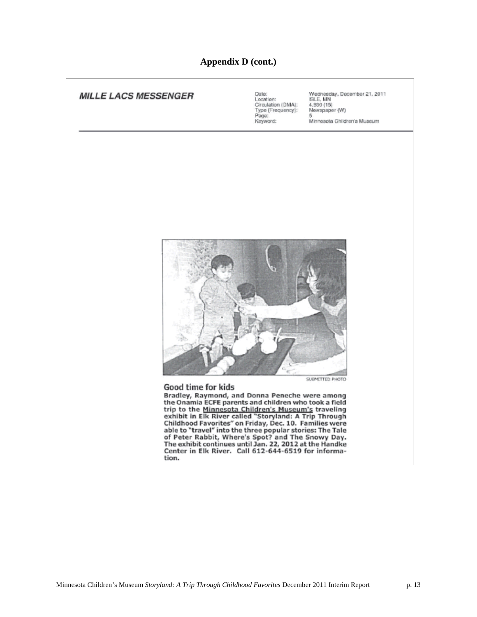### **Appendix D (cont.)**

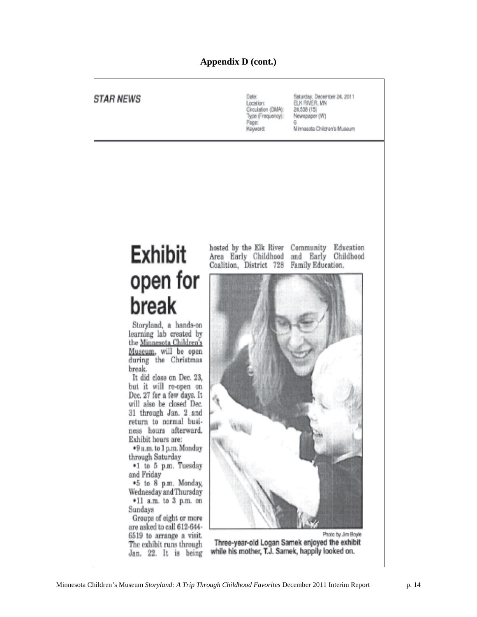# **Appendix D (cont.)**

 $\overline{1}$ 

| <i><b>STAR NEWS</b></i>                                                                                                                                                                                                                                                                                                                                                                                                                                                                                                                 | Saturday, December 24, 2011<br>Date:<br>ELK RIVER, MN<br>Location:<br>Circulation (DMA):<br>24,538 (15)<br>Type (Frequency):<br>Newspaper (W)<br>Page:<br>Minnesota Children's Museum<br>Koyword: |
|-----------------------------------------------------------------------------------------------------------------------------------------------------------------------------------------------------------------------------------------------------------------------------------------------------------------------------------------------------------------------------------------------------------------------------------------------------------------------------------------------------------------------------------------|---------------------------------------------------------------------------------------------------------------------------------------------------------------------------------------------------|
| Exhibit<br>open for<br>break<br>Storyland, a hands-on<br>learning lab created by<br>the <u>Minnesota Children's</u><br>Museum, will be open<br>during the Christmas<br>break.<br>It did close on Dec. 23,<br>but it will re-open on<br>Dec. 27 for a few days. It<br>will also be closed Dec.<br>31 through Jan. 2 and<br>return to normal busi-<br>ness hours afterward.<br>Exhibit hours are:<br>*9 a.m. to 1 p.m. Monday<br>through Saturday<br>*1 to 5 p.m. Tuesday<br>and Friday<br>.5 to 8 p.m. Monday,<br>Wednesday and Thursday | Education<br>hosted by the Elk River<br>Community<br>Area Early Childhood<br>and Early<br>Childhood<br>Family Education.<br>Coalition, District 728                                               |
| $*11$ a.m. to 3 p.m. on<br>Sundays<br>Groups of eight or more<br>are asked to call 612-644-<br>6519 to arrange a visit.<br>The exhibit runs through<br>Jan. 22. It is being                                                                                                                                                                                                                                                                                                                                                             | Photo by Jim Boyle<br>Three-year-old Logan Samek enjoyed the exhibit<br>while his mother, T.J. Samek, happily looked on.                                                                          |